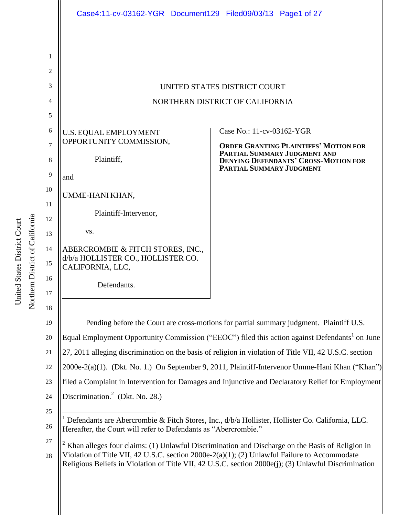|                | Case4:11-cv-03162-YGR Document129 Filed09/03/13 Page1 of 27                                                                                                                                                                                                                                             |                                                                                                               |
|----------------|---------------------------------------------------------------------------------------------------------------------------------------------------------------------------------------------------------------------------------------------------------------------------------------------------------|---------------------------------------------------------------------------------------------------------------|
|                |                                                                                                                                                                                                                                                                                                         |                                                                                                               |
| 1              |                                                                                                                                                                                                                                                                                                         |                                                                                                               |
| $\overline{2}$ |                                                                                                                                                                                                                                                                                                         |                                                                                                               |
| 3              | UNITED STATES DISTRICT COURT                                                                                                                                                                                                                                                                            |                                                                                                               |
| 4              | NORTHERN DISTRICT OF CALIFORNIA                                                                                                                                                                                                                                                                         |                                                                                                               |
| 5              |                                                                                                                                                                                                                                                                                                         |                                                                                                               |
| 6              | <b>U.S. EQUAL EMPLOYMENT</b>                                                                                                                                                                                                                                                                            | Case No.: 11-cv-03162-YGR                                                                                     |
| 7              | OPPORTUNITY COMMISSION,                                                                                                                                                                                                                                                                                 | <b>ORDER GRANTING PLAINTIFFS' MOTION FOR</b>                                                                  |
| 8              | Plaintiff,                                                                                                                                                                                                                                                                                              | PARTIAL SUMMARY JUDGMENT AND<br><b>DENYING DEFENDANTS' CROSS-MOTION FOR</b>                                   |
| 9              | and                                                                                                                                                                                                                                                                                                     | PARTIAL SUMMARY JUDGMENT                                                                                      |
| 10             | UMME-HANI KHAN,                                                                                                                                                                                                                                                                                         |                                                                                                               |
| 11             |                                                                                                                                                                                                                                                                                                         |                                                                                                               |
| 12             | Plaintiff-Intervenor,                                                                                                                                                                                                                                                                                   |                                                                                                               |
| 13             | VS.                                                                                                                                                                                                                                                                                                     |                                                                                                               |
| 14             | ABERCROMBIE & FITCH STORES, INC.,<br>d/b/a HOLLISTER CO., HOLLISTER CO.                                                                                                                                                                                                                                 |                                                                                                               |
| 15             | CALIFORNIA, LLC,                                                                                                                                                                                                                                                                                        |                                                                                                               |
| 16             | Defendants.                                                                                                                                                                                                                                                                                             |                                                                                                               |
| 17             |                                                                                                                                                                                                                                                                                                         |                                                                                                               |
| 18             |                                                                                                                                                                                                                                                                                                         |                                                                                                               |
| 19             | Pending before the Court are cross-motions for partial summary judgment. Plaintiff U.S.                                                                                                                                                                                                                 |                                                                                                               |
| 20             | Equal Employment Opportunity Commission ("EEOC") filed this action against Defendants <sup>1</sup> on June                                                                                                                                                                                              |                                                                                                               |
| 21             | 27, 2011 alleging discrimination on the basis of religion in violation of Title VII, 42 U.S.C. section                                                                                                                                                                                                  |                                                                                                               |
| $22\,$         | 2000e-2(a)(1). (Dkt. No. 1.) On September 9, 2011, Plaintiff-Intervenor Umme-Hani Khan ("Khan")                                                                                                                                                                                                         |                                                                                                               |
| 23             | filed a Complaint in Intervention for Damages and Injunctive and Declaratory Relief for Employment                                                                                                                                                                                                      |                                                                                                               |
| 24             | Discrimination. <sup>2</sup> (Dkt. No. 28.)                                                                                                                                                                                                                                                             |                                                                                                               |
| 25             |                                                                                                                                                                                                                                                                                                         | <sup>1</sup> Defendants are Abercrombie & Fitch Stores, Inc., d/b/a Hollister, Hollister Co. California, LLC. |
| 26             | Hereafter, the Court will refer to Defendants as "Abercrombie."                                                                                                                                                                                                                                         |                                                                                                               |
| 27             | Khan alleges four claims: (1) Unlawful Discrimination and Discharge on the Basis of Religion in<br>Violation of Title VII, 42 U.S.C. section 2000e-2(a)(1); (2) Unlawful Failure to Accommodate<br>Religious Beliefs in Violation of Title VII, 42 U.S.C. section 2000e(j); (3) Unlawful Discrimination |                                                                                                               |
| 28             |                                                                                                                                                                                                                                                                                                         |                                                                                                               |

Northern District of California Northern District of California United States District Court United States District Court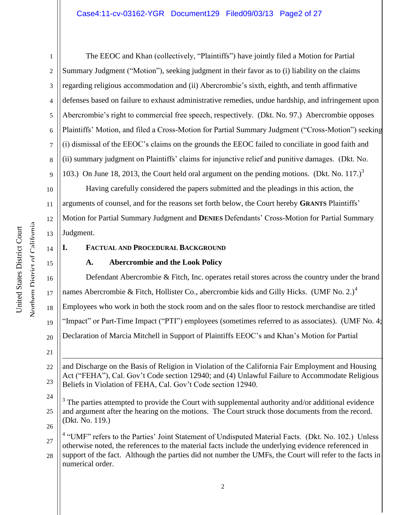2 3 4 5 6 7 8 9 The EEOC and Khan (collectively, "Plaintiffs") have jointly filed a Motion for Partial Summary Judgment ("Motion"), seeking judgment in their favor as to (i) liability on the claims regarding religious accommodation and (ii) Abercrombie's sixth, eighth, and tenth affirmative defenses based on failure to exhaust administrative remedies, undue hardship, and infringement upon Abercrombie's right to commercial free speech, respectively. (Dkt. No. 97.) Abercrombie opposes Plaintiffs' Motion, and filed a Cross-Motion for Partial Summary Judgment ("Cross-Motion") seeking (i) dismissal of the EEOC's claims on the grounds the EEOC failed to conciliate in good faith and (ii) summary judgment on Plaintiffs' claims for injunctive relief and punitive damages. (Dkt. No. 103.) On June 18, 2013, the Court held oral argument on the pending motions. (Dkt. No. 117.)<sup>3</sup>

10 12 13 Having carefully considered the papers submitted and the pleadings in this action, the arguments of counsel, and for the reasons set forth below, the Court hereby **GRANTS** Plaintiffs' Motion for Partial Summary Judgment and **DENIES** Defendants' Cross-Motion for Partial Summary Judgment.

#### 14

15

16

17

21

11

1

# **I. FACTUAL AND PROCEDURAL BACKGROUND**

# **A. Abercrombie and the Look Policy**

Defendant Abercrombie & Fitch, Inc. operates retail stores across the country under the brand names Abercrombie & Fitch, Hollister Co., abercrombie kids and Gilly Hicks. (UMF No. 2.)<sup>4</sup>

18 Employees who work in both the stock room and on the sales floor to restock merchandise are titled

19 "Impact" or Part-Time Impact ("PTI") employees (sometimes referred to as associates). (UMF No. 4;

20 Declaration of Marcia Mitchell in Support of Plaintiffs EEOC's and Khan's Motion for Partial

22 23  $\overline{a}$ and Discharge on the Basis of Religion in Violation of the California Fair Employment and Housing Act ("FEHA"), Cal. Gov't Code section 12940; and (4) Unlawful Failure to Accommodate Religious Beliefs in Violation of FEHA, Cal. Gov't Code section 12940.

24 25 26  $3$  The parties attempted to provide the Court with supplemental authority and/or additional evidence and argument after the hearing on the motions. The Court struck those documents from the record. (Dkt. No. 119.)

27 <sup>4</sup> "UMF" refers to the Parties' Joint Statement of Undisputed Material Facts. (Dkt. No. 102.) Unless otherwise noted, the references to the material facts include the underlying evidence referenced in

28 support of the fact. Although the parties did not number the UMFs, the Court will refer to the facts in numerical order.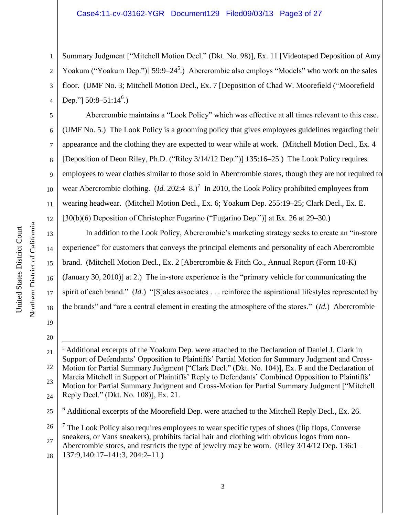1 2 3 4 Summary Judgment ["Mitchell Motion Decl." (Dkt. No. 98)], Ex. 11 [Videotaped Deposition of Amy Yoakum ("Yoakum Dep.")] 59:9–24<sup>5</sup>.) Abercrombie also employs "Models" who work on the sales floor. (UMF No. 3; Mitchell Motion Decl., Ex. 7 [Deposition of Chad W. Moorefield ("Moorefield Dep."]  $50:8-51:14^6$ .)

5 6 7 8 9 10 11 12 Abercrombie maintains a "Look Policy" which was effective at all times relevant to this case. (UMF No. 5.) The Look Policy is a grooming policy that gives employees guidelines regarding their appearance and the clothing they are expected to wear while at work. (Mitchell Motion Decl., Ex. 4 [Deposition of Deon Riley, Ph.D. ("Riley 3/14/12 Dep.")] 135:16–25.) The Look Policy requires employees to wear clothes similar to those sold in Abercrombie stores, though they are not required to wear Abercrombie clothing.  $(Id. 202:4-8.)^7$  In 2010, the Look Policy prohibited employees from wearing headwear. (Mitchell Motion Decl., Ex. 6; Yoakum Dep. 255:19–25; Clark Decl., Ex. E. [30(b)(6) Deposition of Christopher Fugarino ("Fugarino Dep.")] at Ex. 26 at 29–30.)

13 14 15 16 17 18 In addition to the Look Policy, Abercrombie's marketing strategy seeks to create an "in-store experience" for customers that conveys the principal elements and personality of each Abercrombie brand. (Mitchell Motion Decl., Ex. 2 [Abercrombie & Fitch Co., Annual Report (Form 10-K) (January 30, 2010)] at 2.) The in-store experience is the "primary vehicle for communicating the spirit of each brand." (*Id.*) "[S]ales associates . . . reinforce the aspirational lifestyles represented by the brands" and "are a central element in creating the atmosphere of the stores." (*Id.*) Abercrombie

20

 $\overline{a}$ 

19

28

<sup>21</sup> 22 23 24 <sup>5</sup> Additional excerpts of the Yoakum Dep. were attached to the Declaration of Daniel J. Clark in Support of Defendants' Opposition to Plaintiffs' Partial Motion for Summary Judgment and Cross-Motion for Partial Summary Judgment ["Clark Decl." (Dkt. No. 104)], Ex. F and the Declaration of Marcia Mitchell in Support of Plaintiffs' Reply to Defendants' Combined Opposition to Plaintiffs' Motion for Partial Summary Judgment and Cross-Motion for Partial Summary Judgment ["Mitchell Reply Decl." (Dkt. No. 108)], Ex. 21.

<sup>25</sup>  $6$  Additional excerpts of the Moorefield Dep. were attached to the Mitchell Reply Decl., Ex. 26.

<sup>26</sup> 27  $<sup>7</sup>$  The Look Policy also requires employees to wear specific types of shoes (flip flops, Converse)</sup> sneakers, or Vans sneakers), prohibits facial hair and clothing with obvious logos from non-Abercrombie stores, and restricts the type of jewelry may be worn. (Riley 3/14/12 Dep. 136:1– 137:9,140:17–141:3, 204:2–11.)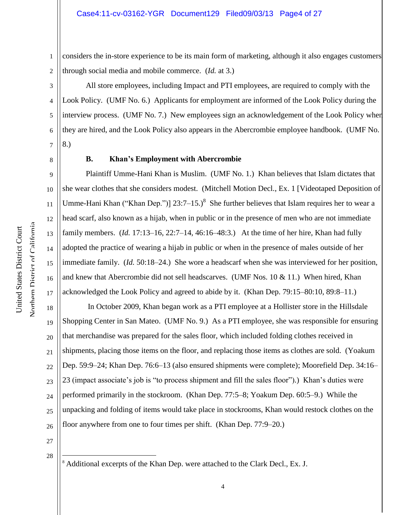1 2 considers the in-store experience to be its main form of marketing, although it also engages customers through social media and mobile commerce. (*Id.* at 3.)

3 4 5 6 7 All store employees, including Impact and PTI employees, are required to comply with the Look Policy. (UMF No. 6.) Applicants for employment are informed of the Look Policy during the interview process. (UMF No. 7.) New employees sign an acknowledgement of the Look Policy when they are hired, and the Look Policy also appears in the Abercrombie employee handbook. (UMF No. 8.)

8

9

10

11

12

13

14

15

16

17

19

21

## **B. Khan's Employment with Abercrombie**

Plaintiff Umme-Hani Khan is Muslim. (UMF No. 1.) Khan believes that Islam dictates that she wear clothes that she considers modest. (Mitchell Motion Decl., Ex. 1 [Videotaped Deposition of Umme-Hani Khan ("Khan Dep.")]  $23:7-15.$ <sup>8</sup> She further believes that Islam requires her to wear a head scarf, also known as a hijab, when in public or in the presence of men who are not immediate family members. (*Id.* 17:13–16, 22:7–14, 46:16–48:3.) At the time of her hire, Khan had fully adopted the practice of wearing a hijab in public or when in the presence of males outside of her immediate family. (*Id.* 50:18–24.) She wore a headscarf when she was interviewed for her position, and knew that Abercrombie did not sell headscarves. (UMF Nos. 10 & 11.) When hired, Khan acknowledged the Look Policy and agreed to abide by it. (Khan Dep. 79:15–80:10, 89:8–11.)

18 20 22 23 24 25 26 In October 2009, Khan began work as a PTI employee at a Hollister store in the Hillsdale Shopping Center in San Mateo. (UMF No. 9.) As a PTI employee, she was responsible for ensuring that merchandise was prepared for the sales floor, which included folding clothes received in shipments, placing those items on the floor, and replacing those items as clothes are sold. (Yoakum Dep. 59:9–24; Khan Dep. 76:6–13 (also ensured shipments were complete); Moorefield Dep. 34:16– 23 (impact associate's job is "to process shipment and fill the sales floor").) Khan's duties were performed primarily in the stockroom. (Khan Dep. 77:5–8; Yoakum Dep. 60:5–9.) While the unpacking and folding of items would take place in stockrooms, Khan would restock clothes on the floor anywhere from one to four times per shift. (Khan Dep. 77:9–20.)

- 27
- 28

 $\overline{a}$ 

<sup>&</sup>lt;sup>8</sup> Additional excerpts of the Khan Dep. were attached to the Clark Decl., Ex. J.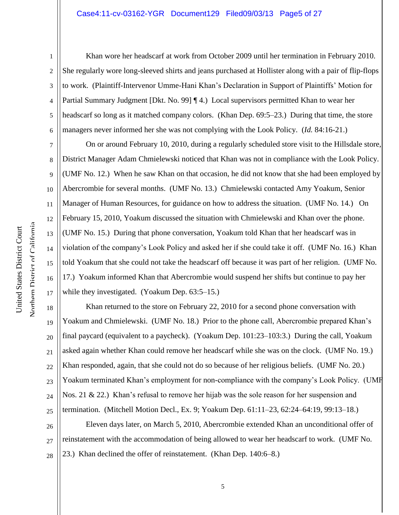#### Case4:11-cv-03162-YGR Document129 Filed09/03/13 Page5 of 27

7

8

9

10

11

12

13

14

15

16

17

1 2 3 4 5 6 Khan wore her headscarf at work from October 2009 until her termination in February 2010. She regularly wore long-sleeved shirts and jeans purchased at Hollister along with a pair of flip-flops to work. (Plaintiff-Intervenor Umme-Hani Khan's Declaration in Support of Plaintiffs' Motion for Partial Summary Judgment [Dkt. No. 99] [4.] Local supervisors permitted Khan to wear her headscarf so long as it matched company colors. (Khan Dep. 69:5–23.) During that time, the store managers never informed her she was not complying with the Look Policy. (*Id.* 84:16-21.)

On or around February 10, 2010, during a regularly scheduled store visit to the Hillsdale store, District Manager Adam Chmielewski noticed that Khan was not in compliance with the Look Policy. (UMF No. 12.) When he saw Khan on that occasion, he did not know that she had been employed by Abercrombie for several months. (UMF No. 13.) Chmielewski contacted Amy Yoakum, Senior Manager of Human Resources, for guidance on how to address the situation. (UMF No. 14.) On February 15, 2010, Yoakum discussed the situation with Chmielewski and Khan over the phone. (UMF No. 15.) During that phone conversation, Yoakum told Khan that her headscarf was in violation of the company's Look Policy and asked her if she could take it off. (UMF No. 16.) Khan told Yoakum that she could not take the headscarf off because it was part of her religion. (UMF No. 17.) Yoakum informed Khan that Abercrombie would suspend her shifts but continue to pay her while they investigated. (Yoakum Dep. 63:5–15.)

18 19 20 21 22 23 24 25 Khan returned to the store on February 22, 2010 for a second phone conversation with Yoakum and Chmielewski. (UMF No. 18.) Prior to the phone call, Abercrombie prepared Khan's final paycard (equivalent to a paycheck). (Yoakum Dep. 101:23–103:3.) During the call, Yoakum asked again whether Khan could remove her headscarf while she was on the clock. (UMF No. 19.) Khan responded, again, that she could not do so because of her religious beliefs. (UMF No. 20.) Yoakum terminated Khan's employment for non-compliance with the company's Look Policy. (UMF Nos. 21 & 22.) Khan's refusal to remove her hijab was the sole reason for her suspension and termination. (Mitchell Motion Decl., Ex. 9; Yoakum Dep. 61:11–23, 62:24–64:19, 99:13–18.)

26 27 28 Eleven days later, on March 5, 2010, Abercrombie extended Khan an unconditional offer of reinstatement with the accommodation of being allowed to wear her headscarf to work. (UMF No. 23.) Khan declined the offer of reinstatement. (Khan Dep. 140:6–8.)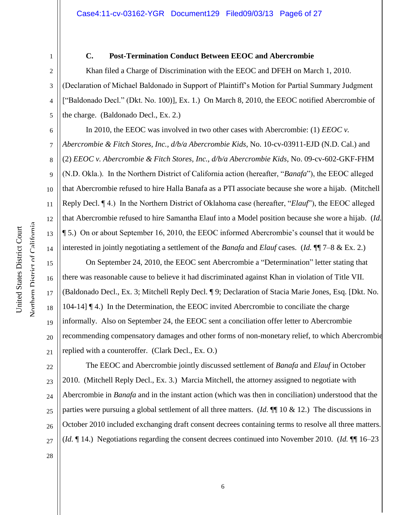### **C. Post-Termination Conduct Between EEOC and Abercrombie**

Khan filed a Charge of Discrimination with the EEOC and DFEH on March 1, 2010. (Declaration of Michael Baldonado in Support of Plaintiff's Motion for Partial Summary Judgment ["Baldonado Decl." (Dkt. No. 100)], Ex. 1.) On March 8, 2010, the EEOC notified Abercrombie of the charge. (Baldonado Decl., Ex. 2.)

6 7 8 9 10 12 In 2010, the EEOC was involved in two other cases with Abercrombie: (1) *EEOC v. Abercrombie & Fitch Stores, Inc., d/b/a Abercrombie Kids*, No. 10-cv-03911-EJD (N.D. Cal.) and (2) *EEOC v. Abercrombie & Fitch Stores, Inc., d/b/a Abercrombie Kids*, No. 09-cv-602-GKF-FHM (N.D. Okla.). In the Northern District of California action (hereafter, "*Banafa*"), the EEOC alleged that Abercrombie refused to hire Halla Banafa as a PTI associate because she wore a hijab. (Mitchell Reply Decl. ¶ 4.) In the Northern District of Oklahoma case (hereafter, "*Elauf*"), the EEOC alleged that Abercrombie refused to hire Samantha Elauf into a Model position because she wore a hijab. (*Id.* ¶ 5.) On or about September 16, 2010, the EEOC informed Abercrombie's counsel that it would be interested in jointly negotiating a settlement of the *Banafa* and *Elauf* cases. (*Id.* ¶¶ 7–8 & Ex. 2.)

On September 24, 2010, the EEOC sent Abercrombie a "Determination" letter stating that there was reasonable cause to believe it had discriminated against Khan in violation of Title VII. (Baldonado Decl., Ex. 3; Mitchell Reply Decl. ¶ 9; Declaration of Stacia Marie Jones, Esq. [Dkt. No. 104-14] ¶ 4.) In the Determination, the EEOC invited Abercrombie to conciliate the charge informally. Also on September 24, the EEOC sent a conciliation offer letter to Abercrombie recommending compensatory damages and other forms of non-monetary relief, to which Abercrombie replied with a counteroffer. (Clark Decl., Ex. O.)

22 23 24 25 26 27 The EEOC and Abercrombie jointly discussed settlement of *Banafa* and *Elauf* in October 2010. (Mitchell Reply Decl., Ex. 3.) Marcia Mitchell, the attorney assigned to negotiate with Abercrombie in *Banafa* and in the instant action (which was then in conciliation) understood that the parties were pursuing a global settlement of all three matters. (*Id.* ¶¶ 10 & 12.) The discussions in October 2010 included exchanging draft consent decrees containing terms to resolve all three matters. (*Id.* ¶ 14.) Negotiations regarding the consent decrees continued into November 2010. (*Id.* ¶¶ 16–23

28

Northern District of California Northern District of California United States District Court

United States District Court

1

2

3

4

5

11

13

14

15

16

17

18

19

20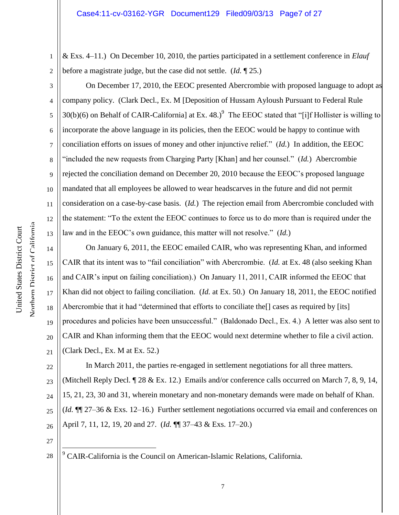1 2 & Exs. 4–11.) On December 10, 2010, the parties participated in a settlement conference in *Elauf* before a magistrate judge, but the case did not settle. (*Id.* ¶ 25.)

On December 17, 2010, the EEOC presented Abercrombie with proposed language to adopt as company policy. (Clark Decl., Ex. M [Deposition of Hussam Ayloush Pursuant to Federal Rule 30(b)(6) on Behalf of CAIR-California] at Ex. 48.)<sup>9</sup> The EEOC stated that "[i]f Hollister is willing to incorporate the above language in its policies, then the EEOC would be happy to continue with conciliation efforts on issues of money and other injunctive relief." (*Id.*) In addition, the EEOC "included the new requests from Charging Party [Khan] and her counsel." (*Id.*) Abercrombie rejected the conciliation demand on December 20, 2010 because the EEOC's proposed language mandated that all employees be allowed to wear headscarves in the future and did not permit consideration on a case-by-case basis. (*Id.*) The rejection email from Abercrombie concluded with the statement: "To the extent the EEOC continues to force us to do more than is required under the law and in the EEOC's own guidance, this matter will not resolve." (*Id.*)

14 15 16 17 18 19 20 21 On January 6, 2011, the EEOC emailed CAIR, who was representing Khan, and informed CAIR that its intent was to "fail conciliation" with Abercrombie. (*Id.* at Ex. 48 (also seeking Khan and CAIR's input on failing conciliation).) On January 11, 2011, CAIR informed the EEOC that Khan did not object to failing conciliation. (*Id.* at Ex. 50.) On January 18, 2011, the EEOC notified Abercrombie that it had "determined that efforts to conciliate the[] cases as required by [its] procedures and policies have been unsuccessful." (Baldonado Decl., Ex. 4.) A letter was also sent to CAIR and Khan informing them that the EEOC would next determine whether to file a civil action. (Clark Decl., Ex. M at Ex. 52.)

22 23 24 25 26 In March 2011, the parties re-engaged in settlement negotiations for all three matters. (Mitchell Reply Decl. ¶ 28 & Ex. 12.) Emails and/or conference calls occurred on March 7, 8, 9, 14, 15, 21, 23, 30 and 31, wherein monetary and non-monetary demands were made on behalf of Khan. (*Id.* ¶¶ 27–36 & Exs. 12–16.) Further settlement negotiations occurred via email and conferences on April 7, 11, 12, 19, 20 and 27. (*Id.* ¶¶ 37–43 & Exs. 17–20.)

27

28

 $\overline{a}$ 

 $9^9$  CAIR-California is the Council on American-Islamic Relations, California.

3

4

5

6

7

8

9

10

11

12

13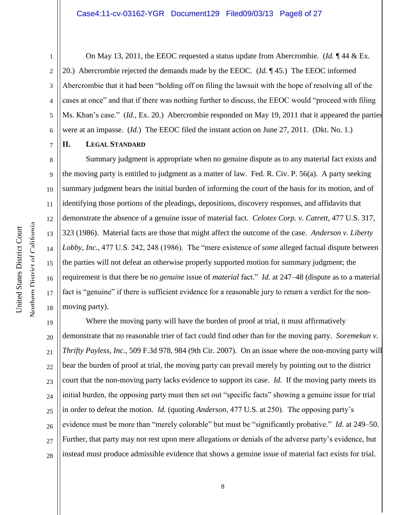#### Case4:11-cv-03162-YGR Document129 Filed09/03/13 Page8 of 27

2 3 4 5 6 On May 13, 2011, the EEOC requested a status update from Abercrombie. (*Id.* ¶ 44 & Ex. 20.) Abercrombie rejected the demands made by the EEOC. (*Id.* ¶ 45.) The EEOC informed Abercrombie that it had been "holding off on filing the lawsuit with the hope of resolving all of the cases at once" and that if there was nothing further to discuss, the EEOC would "proceed with filing Ms. Khan's case." (*Id.*, Ex. 20.) Abercrombie responded on May 19, 2011 that it appeared the parties were at an impasse. (*Id.*) The EEOC filed the instant action on June 27, 2011. (Dkt. No. 1.)

7 **II. LEGAL STANDARD**

1

8

9

10

11

12

13

14

15

16

17

18

Summary judgment is appropriate when no genuine dispute as to any material fact exists and the moving party is entitled to judgment as a matter of law. Fed. R. Civ. P. 56(a). A party seeking summary judgment bears the initial burden of informing the court of the basis for its motion, and of identifying those portions of the pleadings, depositions, discovery responses, and affidavits that demonstrate the absence of a genuine issue of material fact. *Celotex Corp. v. Catrett*, 477 U.S. 317, 323 (1986). Material facts are those that might affect the outcome of the case. *Anderson v. Liberty Lobby, Inc.*, 477 U.S. 242, 248 (1986). The "mere existence of *some* alleged factual dispute between the parties will not defeat an otherwise properly supported motion for summary judgment; the requirement is that there be no *genuine* issue of *material* fact." *Id.* at 247–48 (dispute as to a material fact is "genuine" if there is sufficient evidence for a reasonable jury to return a verdict for the nonmoving party).

19 20 21 22 23 24 25 26 27 28 Where the moving party will have the burden of proof at trial, it must affirmatively demonstrate that no reasonable trier of fact could find other than for the moving party. *Soremekun v. Thrifty Payless, Inc.*, 509 F.3d 978, 984 (9th Cir. 2007). On an issue where the non-moving party will bear the burden of proof at trial, the moving party can prevail merely by pointing out to the district court that the non-moving party lacks evidence to support its case. *Id.* If the moving party meets its initial burden, the opposing party must then set out "specific facts" showing a genuine issue for trial in order to defeat the motion. *Id.* (quoting *Anderson*, 477 U.S. at 250). The opposing party's evidence must be more than "merely colorable" but must be "significantly probative." *Id.* at 249–50. Further, that party may not rest upon mere allegations or denials of the adverse party's evidence, but instead must produce admissible evidence that shows a genuine issue of material fact exists for trial.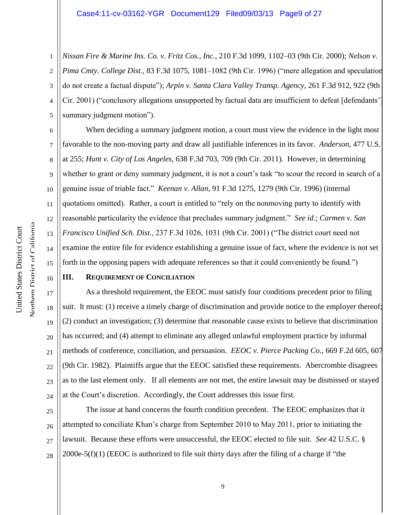1 2 3 4 5 *Nissan Fire & Marine Ins. Co. v. Fritz Cos., Inc.*, 210 F.3d 1099, 1102–03 (9th Cir. 2000); *Nelson v. Pima Cmty. College Dist.*, 83 F.3d 1075, 1081–1082 (9th Cir. 1996) ("mere allegation and speculation do not create a factual dispute"); *Arpin v. Santa Clara Valley Transp. Agency*, 261 F.3d 912, 922 (9th Cir. 2001) ("conclusory allegations unsupported by factual data are insufficient to defeat [defendants' summary judgment motion").

When deciding a summary judgment motion, a court must view the evidence in the light most favorable to the non-moving party and draw all justifiable inferences in its favor. *Anderson*, 477 U.S. at 255; *Hunt v. City of Los Angeles*, 638 F.3d 703, 709 (9th Cir. 2011). However, in determining whether to grant or deny summary judgment, it is not a court's task "to scour the record in search of a genuine issue of triable fact." *Keenan v. Allan*, 91 F.3d 1275, 1279 (9th Cir. 1996) (internal quotations omitted). Rather, a court is entitled to "rely on the nonmoving party to identify with reasonable particularity the evidence that precludes summary judgment." *See id.*; *Carmen v. San Francisco Unified Sch. Dist.*, 237 F.3d 1026, 1031 (9th Cir. 2001) ("The district court need not examine the entire file for evidence establishing a genuine issue of fact, where the evidence is not set forth in the opposing papers with adequate references so that it could conveniently be found.")

6

7

8

9

10

11

12

13

14

15

16

17

18

19

20

21

22

23

24

#### **III. REQUIREMENT OF CONCILIATION**

As a threshold requirement, the EEOC must satisfy four conditions precedent prior to filing suit. It must: (1) receive a timely charge of discrimination and provide notice to the employer thereof; (2) conduct an investigation; (3) determine that reasonable cause exists to believe that discrimination has occurred; and (4) attempt to eliminate any alleged unlawful employment practice by informal methods of conference, conciliation, and persuasion. *EEOC v. Pierce Packing Co*., 669 F.2d 605, 607 (9th Cir. 1982). Plaintiffs argue that the EEOC satisfied these requirements. Abercrombie disagrees as to the last element only. If all elements are not met, the entire lawsuit may be dismissed or stayed at the Court's discretion. Accordingly, the Court addresses this issue first.

25 26 27 28 The issue at hand concerns the fourth condition precedent. The EEOC emphasizes that it attempted to conciliate Khan's charge from September 2010 to May 2011, prior to initiating the lawsuit. Because these efforts were unsuccessful, the EEOC elected to file suit. *See* 42 U.S.C. §  $2000e-5(f)(1)$  (EEOC is authorized to file suit thirty days after the filing of a charge if "the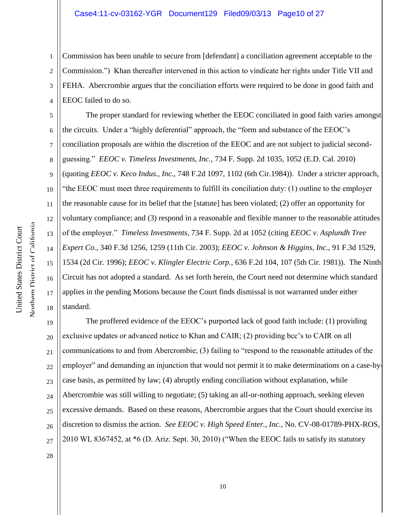1 2 3 4 Commission has been unable to secure from [defendant] a conciliation agreement acceptable to the Commission.") Khan thereafter intervened in this action to vindicate her rights under Title VII and FEHA. Abercrombie argues that the conciliation efforts were required to be done in good faith and EEOC failed to do so.

5 6 7 8 9 10 11 12 13 14 15 16 18 The proper standard for reviewing whether the EEOC conciliated in good faith varies amongst the circuits. Under a "highly deferential" approach, the "form and substance of the EEOC's conciliation proposals are within the discretion of the EEOC and are not subject to judicial secondguessing." *EEOC v. Timeless Investments, Inc.*, 734 F. Supp. 2d 1035, 1052 (E.D. Cal. 2010) (quoting *EEOC v. Keco Indus., Inc.,* 748 F.2d 1097, 1102 (6th Cir.1984)). Under a stricter approach, "the EEOC must meet three requirements to fulfill its conciliation duty: (1) outline to the employer the reasonable cause for its belief that the [statute] has been violated; (2) offer an opportunity for voluntary compliance; and (3) respond in a reasonable and flexible manner to the reasonable attitudes of the employer." *Timeless Investments*, 734 F. Supp. 2d at 1052 (citing *EEOC v. Asplundh Tree Expert Co.,* 340 F.3d 1256, 1259 (11th Cir. 2003); *EEOC v. Johnson & Higgins, Inc.,* 91 F.3d 1529, 1534 (2d Cir. 1996); *EEOC v. Klingler Electric Corp.,* 636 F.2d 104, 107 (5th Cir. 1981)). The Ninth Circuit has not adopted a standard. As set forth herein, the Court need not determine which standard applies in the pending Motions because the Court finds dismissal is not warranted under either standard.

19 20 21 22 23 24 25 26 27 The proffered evidence of the EEOC's purported lack of good faith include: (1) providing exclusive updates or advanced notice to Khan and CAIR; (2) providing bcc's to CAIR on all communications to and from Abercrombie; (3) failing to "respond to the reasonable attitudes of the employer" and demanding an injunction that would not permit it to make determinations on a case-bycase basis, as permitted by law; (4) abruptly ending conciliation without explanation, while Abercrombie was still willing to negotiate; (5) taking an all-or-nothing approach, seeking eleven excessive demands. Based on these reasons, Abercrombie argues that the Court should exercise its discretion to dismiss the action. *See EEOC v. High Speed Enter., Inc.*, No. CV-08-01789-PHX-ROS, 2010 WL 8367452, at \*6 (D. Ariz. Sept. 30, 2010) ("When the EEOC fails to satisfy its statutory

17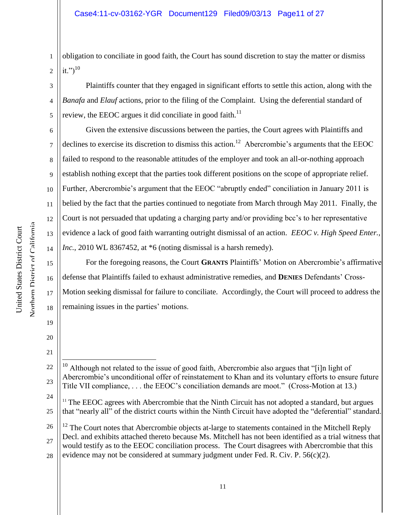1 2 obligation to conciliate in good faith, the Court has sound discretion to stay the matter or dismiss it.") $^{10}$ 

3 4 5 Plaintiffs counter that they engaged in significant efforts to settle this action, along with the *Banafa* and *Elauf* actions, prior to the filing of the Complaint. Using the deferential standard of review, the EEOC argues it did conciliate in good faith. $^{11}$ 

6 7 8 9 10 11 12 13 14 Given the extensive discussions between the parties, the Court agrees with Plaintiffs and declines to exercise its discretion to dismiss this action.<sup>12</sup> Abercrombie's arguments that the EEOC failed to respond to the reasonable attitudes of the employer and took an all-or-nothing approach establish nothing except that the parties took different positions on the scope of appropriate relief. Further, Abercrombie's argument that the EEOC "abruptly ended" conciliation in January 2011 is belied by the fact that the parties continued to negotiate from March through May 2011. Finally, the Court is not persuaded that updating a charging party and/or providing bcc's to her representative evidence a lack of good faith warranting outright dismissal of an action. *EEOC v. High Speed Enter., Inc.*, 2010 WL 8367452, at \*6 (noting dismissal is a harsh remedy).

For the foregoing reasons, the Court **GRANTS** Plaintiffs' Motion on Abercrombie's affirmative defense that Plaintiffs failed to exhaust administrative remedies, and **DENIES** Defendants' Cross-Motion seeking dismissal for failure to conciliate. Accordingly, the Court will proceed to address the remaining issues in the parties' motions.

22 23  $\overline{a}$ <sup>10</sup> Although not related to the issue of good faith, Abercrombie also argues that "[i]n light of Abercrombie's unconditional offer of reinstatement to Khan and its voluntary efforts to ensure future Title VII compliance, . . . the EEOC's conciliation demands are moot." (Cross-Motion at 13.)

24 25  $11$  The EEOC agrees with Abercrombie that the Ninth Circuit has not adopted a standard, but argues that "nearly all" of the district courts within the Ninth Circuit have adopted the "deferential" standard.

15

16

17

18

19

20

<sup>26</sup> 27 28  $12$  The Court notes that Abercrombie objects at-large to statements contained in the Mitchell Reply Decl. and exhibits attached thereto because Ms. Mitchell has not been identified as a trial witness that would testify as to the EEOC conciliation process. The Court disagrees with Abercrombie that this evidence may not be considered at summary judgment under Fed. R. Civ. P.  $56(c)(2)$ .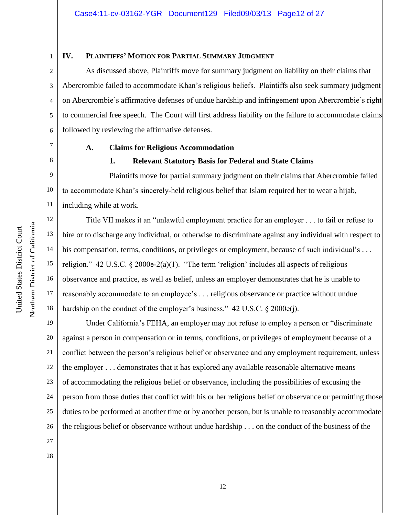## **IV. PLAINTIFFS' MOTION FOR PARTIAL SUMMARY JUDGMENT**

As discussed above, Plaintiffs move for summary judgment on liability on their claims that Abercrombie failed to accommodate Khan's religious beliefs. Plaintiffs also seek summary judgment on Abercrombie's affirmative defenses of undue hardship and infringement upon Abercrombie's right to commercial free speech. The Court will first address liability on the failure to accommodate claims followed by reviewing the affirmative defenses.

1

2

3

4

5

6

7

12

13

14

15

16

17

18

# **A. Claims for Religious Accommodation**

# 8

# **1. Relevant Statutory Basis for Federal and State Claims**

9 10 11 Plaintiffs move for partial summary judgment on their claims that Abercrombie failed to accommodate Khan's sincerely-held religious belief that Islam required her to wear a hijab, including while at work.

Title VII makes it an "unlawful employment practice for an employer . . . to fail or refuse to hire or to discharge any individual, or otherwise to discriminate against any individual with respect to his compensation, terms, conditions, or privileges or employment, because of such individual's ... religion." 42 U.S.C.  $\S 2000e-2(a)(1)$ . "The term 'religion' includes all aspects of religious observance and practice, as well as belief, unless an employer demonstrates that he is unable to reasonably accommodate to an employee's . . . religious observance or practice without undue hardship on the conduct of the employer's business." 42 U.S.C. § 2000e(j).

19 20 21 22 23 24 25 26 27 Under California's FEHA, an employer may not refuse to employ a person or "discriminate against a person in compensation or in terms, conditions, or privileges of employment because of a conflict between the person's religious belief or observance and any employment requirement, unless the employer . . . demonstrates that it has explored any available reasonable alternative means of accommodating the religious belief or observance, including the possibilities of excusing the person from those duties that conflict with his or her religious belief or observance or permitting those duties to be performed at another time or by another person, but is unable to reasonably accommodate the religious belief or observance without undue hardship . . . on the conduct of the business of the

Northern District of California Northern District of California United States District Court

United States District Court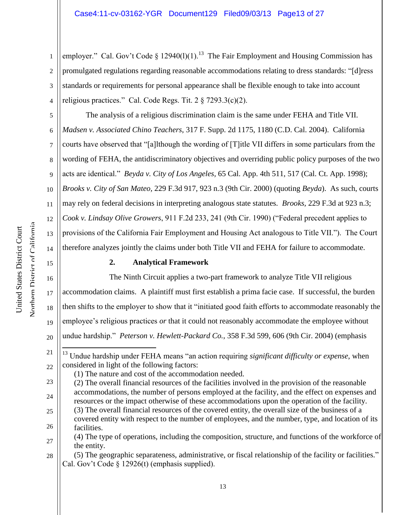1 2 3 4 employer." Cal. Gov't Code § 12940(1)(1).<sup>13</sup> The Fair Employment and Housing Commission has promulgated regulations regarding reasonable accommodations relating to dress standards: "[d]ress standards or requirements for personal appearance shall be flexible enough to take into account religious practices." Cal. Code Regs. Tit.  $2 \frac{8}{2}$  7293.3(c)(2).

The analysis of a religious discrimination claim is the same under FEHA and Title VII.

*Madsen v. Associated Chino Teachers*, 317 F. Supp. 2d 1175, 1180 (C.D. Cal. 2004). California

courts have observed that "[a]lthough the wording of [T]itle VII differs in some particulars from the

wording of FEHA, the antidiscriminatory objectives and overriding public policy purposes of the two

acts are identical." *Beyda v. City of Los Angeles,* 65 Cal. App. 4th 511, 517 (Cal. Ct. App. 1998);

10 *Brooks v. City of San Mateo,* 229 F.3d 917, 923 n.3 (9th Cir. 2000) (quoting *Beyda*). As such, courts

may rely on federal decisions in interpreting analogous state statutes. *Brooks,* 229 F.3d at 923 n.3;

*Cook v. Lindsay Olive Growers*, 911 F.2d 233, 241 (9th Cir. 1990) ("Federal precedent applies to

provisions of the California Fair Employment and Housing Act analogous to Title VII."). The Court therefore analyzes jointly the claims under both Title VII and FEHA for failure to accommodate.

# **2. Analytical Framework**

16 17 18 19 20 The Ninth Circuit applies a two-part framework to analyze Title VII religious accommodation claims. A plaintiff must first establish a prima facie case. If successful, the burden then shifts to the employer to show that it "initiated good faith efforts to accommodate reasonably the employee's religious practices *or* that it could not reasonably accommodate the employee without undue hardship." *Peterson v. Hewlett-Packard Co.*, 358 F.3d 599, 606 (9th Cir. 2004) (emphasis

26 facilities.

28 (5) The geographic separateness, administrative, or fiscal relationship of the facility or facilities." Cal. Gov't Code § 12926(t) (emphasis supplied).

Northern District of California

5

6

7

8

9

11

12

13

14

<sup>21</sup> 22  $\overline{a}$ <sup>13</sup> Undue hardship under FEHA means "an action requiring *significant difficulty or expense*, when considered in light of the following factors:

<sup>(1)</sup> The nature and cost of the accommodation needed.

<sup>23</sup> 24 25 (2) The overall financial resources of the facilities involved in the provision of the reasonable accommodations, the number of persons employed at the facility, and the effect on expenses and resources or the impact otherwise of these accommodations upon the operation of the facility. (3) The overall financial resources of the covered entity, the overall size of the business of a covered entity with respect to the number of employees, and the number, type, and location of its

<sup>27</sup> (4) The type of operations, including the composition, structure, and functions of the workforce of the entity.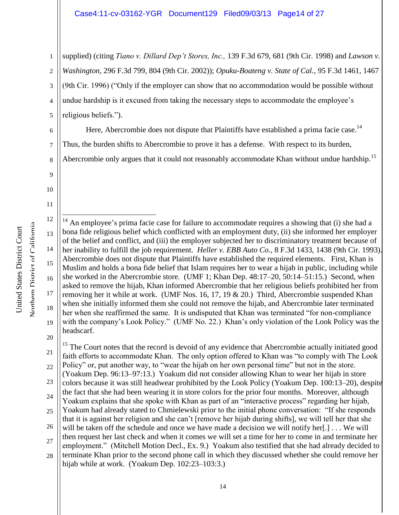### Case4:11-cv-03162-YGR Document129 Filed09/03/13 Page14 of 27

1 2 3 4 5 supplied) (citing *Tiano v. Dillard Dep't Stores, Inc.,* 139 F.3d 679, 681 (9th Cir. 1998) and *Lawson v. Washington,* 296 F.3d 799, 804 (9th Cir. 2002)); *Opuku-Boateng v. State of Cal.*, 95 F.3d 1461, 1467 (9th Cir. 1996) ("Only if the employer can show that no accommodation would be possible without undue hardship is it excused from taking the necessary steps to accommodate the employee's religious beliefs.").

Here, Abercrombie does not dispute that Plaintiffs have established a prima facie case.<sup>14</sup>

Thus, the burden shifts to Abercrombie to prove it has a defense. With respect to its burden,

Abercrombie only argues that it could not reasonably accommodate Khan without undue hardship.<sup>15</sup>

9 10

11

6

7

8

Northern District of California Northern District of California United States District Court United States District Court

12 13 14 15 16 17 18 19 20  $\overline{a}$ An employee's prima facie case for failure to accommodate requires a showing that (i) she had a bona fide religious belief which conflicted with an employment duty, (ii) she informed her employer of the belief and conflict, and (iii) the employer subjected her to discriminatory treatment because of her inability to fulfill the job requirement. *Heller v. EBB Auto Co.,* 8 F.3d 1433, 1438 (9th Cir. 1993). Abercrombie does not dispute that Plaintiffs have established the required elements. First, Khan is Muslim and holds a bona fide belief that Islam requires her to wear a hijab in public, including while she worked in the Abercrombie store. (UMF 1; Khan Dep. 48:17–20, 50:14–51:15.) Second, when asked to remove the hijab, Khan informed Abercrombie that her religious beliefs prohibited her from removing her it while at work. (UMF Nos. 16, 17, 19 & 20.) Third, Abercrombie suspended Khan when she initially informed them she could not remove the hijab, and Abercrombie later terminated her when she reaffirmed the same. It is undisputed that Khan was terminated "for non-compliance with the company's Look Policy." (UMF No. 22.) Khan's only violation of the Look Policy was the headscarf.

21 22 23 24 25 26 27 28  $15$  The Court notes that the record is devoid of any evidence that Abercrombie actually initiated good faith efforts to accommodate Khan. The only option offered to Khan was "to comply with The Look Policy" or, put another way, to "wear the hijab on her own personal time" but not in the store. (Yoakum Dep. 96:13–97:13.) Yoakum did not consider allowing Khan to wear her hijab in store colors because it was still headwear prohibited by the Look Policy (Yoakum Dep. 100:13–20), despite the fact that she had been wearing it in store colors for the prior four months. Moreover, although Yoakum explains that she spoke with Khan as part of an "interactive process" regarding her hijab, Yoakum had already stated to Chmielewski prior to the initial phone conversation: "If she responds that it is against her religion and she can't [remove her hijab during shifts], we will tell her that she will be taken off the schedule and once we have made a decision we will notify her[.] . . . We will then request her last check and when it comes we will set a time for her to come in and terminate her employment." (Mitchell Motion Decl., Ex. 9.) Yoakum also testified that she had already decided to terminate Khan prior to the second phone call in which they discussed whether she could remove her hijab while at work. (Yoakum Dep. 102:23–103:3.)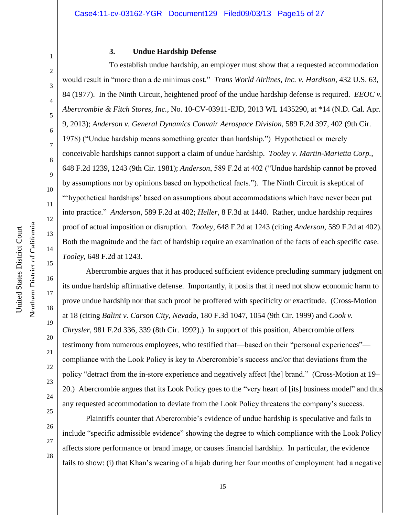2 3

4

5

6

7

8

9

10

11

12

13

14

15

16

17

18

19

20

21

22

23

24

1

#### **3. Undue Hardship Defense**

To establish undue hardship, an employer must show that a requested accommodation would result in "more than a de minimus cost." *Trans World Airlines, Inc. v. Hardison*, 432 U.S. 63, 84 (1977). In the Ninth Circuit, heightened proof of the undue hardship defense is required. *EEOC v. Abercrombie & Fitch Stores, Inc.*, No. 10-CV-03911-EJD, 2013 WL 1435290, at \*14 (N.D. Cal. Apr. 9, 2013); *Anderson v. General Dynamics Convair Aerospace Division*, 589 F.2d 397, 402 (9th Cir. 1978) ("Undue hardship means something greater than hardship.") Hypothetical or merely conceivable hardships cannot support a claim of undue hardship. *Tooley v. Martin-Marietta Corp.*, 648 F.2d 1239, 1243 (9th Cir. 1981); *Anderson*, 589 F.2d at 402 ("Undue hardship cannot be proved by assumptions nor by opinions based on hypothetical facts."). The Ninth Circuit is skeptical of "'hypothetical hardships' based on assumptions about accommodations which have never been put into practice." *Anderson*, 589 F.2d at 402; *Heller*, 8 F.3d at 1440. Rather, undue hardship requires proof of actual imposition or disruption. *Tooley*, 648 F.2d at 1243 (citing *Anderson*, 589 F.2d at 402). Both the magnitude and the fact of hardship require an examination of the facts of each specific case. *Tooley*, 648 F.2d at 1243.

Abercrombie argues that it has produced sufficient evidence precluding summary judgment on its undue hardship affirmative defense. Importantly, it posits that it need not show economic harm to prove undue hardship nor that such proof be proffered with specificity or exactitude. (Cross-Motion at 18 (citing *Balint v. Carson City, Nevada*, 180 F.3d 1047, 1054 (9th Cir. 1999) and *Cook v. Chrysler*, 981 F.2d 336, 339 (8th Cir. 1992).) In support of this position, Abercrombie offers testimony from numerous employees, who testified that—based on their "personal experiences" compliance with the Look Policy is key to Abercrombie's success and/or that deviations from the policy "detract from the in-store experience and negatively affect [the] brand." (Cross-Motion at 19– 20.) Abercrombie argues that its Look Policy goes to the "very heart of [its] business model" and thus any requested accommodation to deviate from the Look Policy threatens the company's success.

25 26 27

28

Plaintiffs counter that Abercrombie's evidence of undue hardship is speculative and fails to include "specific admissible evidence" showing the degree to which compliance with the Look Policy affects store performance or brand image, or causes financial hardship. In particular, the evidence fails to show: (i) that Khan's wearing of a hijab during her four months of employment had a negative

Northern District of California Northern District of California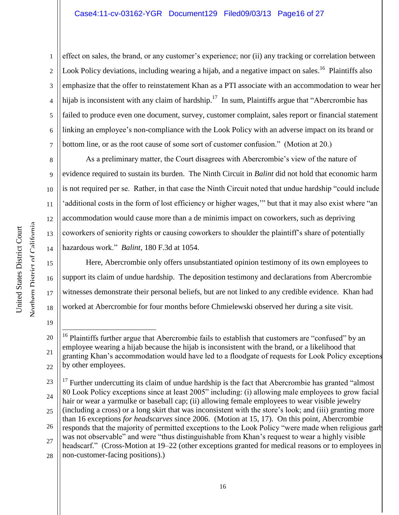1 2 3 4 5 6 7 effect on sales, the brand, or any customer's experience; nor (ii) any tracking or correlation between Look Policy deviations, including wearing a hijab, and a negative impact on sales.<sup>16</sup> Plaintiffs also emphasize that the offer to reinstatement Khan as a PTI associate with an accommodation to wear her hijab is inconsistent with any claim of hardship.<sup>17</sup> In sum, Plaintiffs argue that "Abercrombie has failed to produce even one document, survey, customer complaint, sales report or financial statement linking an employee's non-compliance with the Look Policy with an adverse impact on its brand or bottom line, or as the root cause of some sort of customer confusion." (Motion at 20.)

8 9 10 11 12 13 14 As a preliminary matter, the Court disagrees with Abercrombie's view of the nature of evidence required to sustain its burden. The Ninth Circuit in *Balint* did not hold that economic harm is not required per se. Rather, in that case the Ninth Circuit noted that undue hardship "could include 'additional costs in the form of lost efficiency or higher wages,'" but that it may also exist where "an accommodation would cause more than a de minimis impact on coworkers, such as depriving coworkers of seniority rights or causing coworkers to shoulder the plaintiff's share of potentially hazardous work." *Balint*, 180 F.3d at 1054.

Here, Abercrombie only offers unsubstantiated opinion testimony of its own employees to support its claim of undue hardship. The deposition testimony and declarations from Abercrombie witnesses demonstrate their personal beliefs, but are not linked to any credible evidence. Khan had worked at Abercrombie for four months before Chmielewski observed her during a site visit.

15

16

17

18

<sup>20</sup> 21 22  $\overline{a}$  $16$  Plaintiffs further argue that Abercrombie fails to establish that customers are "confused" by an employee wearing a hijab because the hijab is inconsistent with the brand, or a likelihood that granting Khan's accommodation would have led to a floodgate of requests for Look Policy exceptions by other employees.

<sup>23</sup> 24 25 26 27 28  $17$  Further undercutting its claim of undue hardship is the fact that Abercrombie has granted "almost" 80 Look Policy exceptions since at least 2005" including: (i) allowing male employees to grow facial hair or wear a yarmulke or baseball cap; (ii) allowing female employees to wear visible jewelry (including a cross) or a long skirt that was inconsistent with the store's look; and (iii) granting more than 16 exceptions *for headscarves* since 2006. (Motion at 15, 17). On this point, Abercrombie responds that the majority of permitted exceptions to the Look Policy "were made when religious garb was not observable" and were "thus distinguishable from Khan's request to wear a highly visible headscarf." (Cross-Motion at 19–22 (other exceptions granted for medical reasons or to employees in non-customer-facing positions).)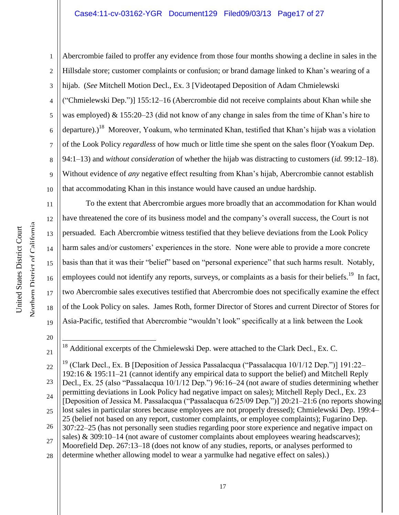# Case4:11-cv-03162-YGR Document129 Filed09/03/13 Page17 of 27

1 2 3 4 5 6 7 8 9 10 Abercrombie failed to proffer any evidence from those four months showing a decline in sales in the Hillsdale store; customer complaints or confusion; or brand damage linked to Khan's wearing of a hijab. (*See* Mitchell Motion Decl., Ex. 3 [Videotaped Deposition of Adam Chmielewski ("Chmielewski Dep.")] 155:12–16 (Abercrombie did not receive complaints about Khan while she was employed) & 155:20–23 (did not know of any change in sales from the time of Khan's hire to departure).)<sup>18</sup> Moreover, Yoakum, who terminated Khan, testified that Khan's hijab was a violation of the Look Policy *regardless* of how much or little time she spent on the sales floor (Yoakum Dep. 94:1–13) and *without consideration* of whether the hijab was distracting to customers (*id.* 99:12–18). Without evidence of *any* negative effect resulting from Khan's hijab, Abercrombie cannot establish that accommodating Khan in this instance would have caused an undue hardship.

To the extent that Abercrombie argues more broadly that an accommodation for Khan would have threatened the core of its business model and the company's overall success, the Court is not persuaded. Each Abercrombie witness testified that they believe deviations from the Look Policy harm sales and/or customers' experiences in the store. None were able to provide a more concrete basis than that it was their "belief" based on "personal experience" that such harms result. Notably, employees could not identify any reports, surveys, or complaints as a basis for their beliefs.<sup>19</sup> In fact, two Abercrombie sales executives testified that Abercrombie does not specifically examine the effect of the Look Policy on sales. James Roth, former Director of Stores and current Director of Stores for Asia-Pacific, testified that Abercrombie "wouldn't look" specifically at a link between the Look

20

 $\overline{a}$ 

21

11

12

13

14

15

16

17

18

 $18$  Additional excerpts of the Chmielewski Dep. were attached to the Clark Decl., Ex. C.

<sup>22</sup> 23 24 25 26 27 28 <sup>19</sup> (Clark Decl., Ex. B [Deposition of Jessica Passalacqua ("Passalacqua 10/1/12 Dep.")] 191:22– 192:16 & 195:11–21 (cannot identify any empirical data to support the belief) and Mitchell Reply Decl., Ex. 25 (also "Passalacqua 10/1/12 Dep.") 96:16–24 (not aware of studies determining whether permitting deviations in Look Policy had negative impact on sales); Mitchell Reply Decl., Ex. 23 [Deposition of Jessica M. Passalacqua ("Passalacqua 6/25/09 Dep.")] 20:21–21:6 (no reports showing lost sales in particular stores because employees are not properly dressed); Chmielewski Dep. 199:4– 25 (belief not based on any report, customer complaints, or employee complaints); Fugarino Dep. 307:22–25 (has not personally seen studies regarding poor store experience and negative impact on sales) & 309:10–14 (not aware of customer complaints about employees wearing headscarves); Moorefield Dep. 267:13–18 (does not know of any studies, reports, or analyses performed to determine whether allowing model to wear a yarmulke had negative effect on sales).)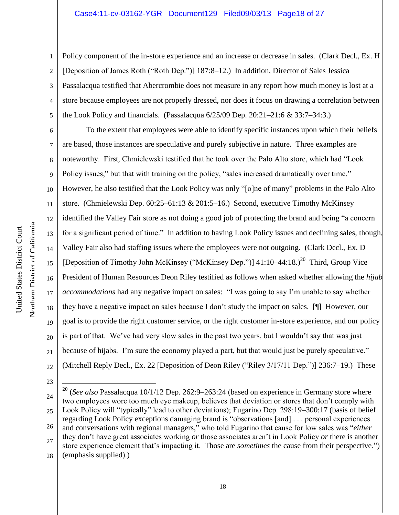## Case4:11-cv-03162-YGR Document129 Filed09/03/13 Page18 of 27

1 2 3 4 5 Policy component of the in-store experience and an increase or decrease in sales. (Clark Decl., Ex. H [Deposition of James Roth ("Roth Dep.")] 187:8–12.) In addition, Director of Sales Jessica Passalacqua testified that Abercrombie does not measure in any report how much money is lost at a store because employees are not properly dressed, nor does it focus on drawing a correlation between the Look Policy and financials. (Passalacqua 6/25/09 Dep. 20:21–21:6 & 33:7–34:3.)

6 7 8 9 10 11 12 13 14 15 16 18 19 20 21 22 To the extent that employees were able to identify specific instances upon which their beliefs are based, those instances are speculative and purely subjective in nature. Three examples are noteworthy. First, Chmielewski testified that he took over the Palo Alto store, which had "Look Policy issues," but that with training on the policy, "sales increased dramatically over time." However, he also testified that the Look Policy was only "[o]ne of many" problems in the Palo Alto store. (Chmielewski Dep. 60:25–61:13 & 201:5–16.) Second, executive Timothy McKinsey identified the Valley Fair store as not doing a good job of protecting the brand and being "a concern for a significant period of time." In addition to having Look Policy issues and declining sales, though, Valley Fair also had staffing issues where the employees were not outgoing. (Clark Decl., Ex. D [Deposition of Timothy John McKinsey ("McKinsey Dep.")]  $41:10-44:18$ .)<sup>20</sup> Third, Group Vice President of Human Resources Deon Riley testified as follows when asked whether allowing the *hijab accommodations* had any negative impact on sales: "I was going to say I'm unable to say whether they have a negative impact on sales because I don't study the impact on sales. [¶] However, our goal is to provide the right customer service, or the right customer in-store experience, and our policy is part of that. We've had very slow sales in the past two years, but I wouldn't say that was just because of hijabs. I'm sure the economy played a part, but that would just be purely speculative." (Mitchell Reply Decl., Ex. 22 [Deposition of Deon Riley ("Riley 3/17/11 Dep.")] 236:7–19.) These

23

 $\overline{a}$ 

17

24 25 26 27 28 <sup>20</sup> (*See also* Passalacqua 10/1/12 Dep. 262:9–263:24 (based on experience in Germany store where two employees wore too much eye makeup, believes that deviation or stores that don't comply with Look Policy will "typically" lead to other deviations); Fugarino Dep. 298:19–300:17 (basis of belief regarding Look Policy exceptions damaging brand is "observations [and] . . . personal experiences and conversations with regional managers," who told Fugarino that cause for low sales was "*either* they don't have great associates working *or* those associates aren't in Look Policy *or* there is another store experience element that's impacting it. Those are *sometimes* the cause from their perspective.") (emphasis supplied).)

Northern District of California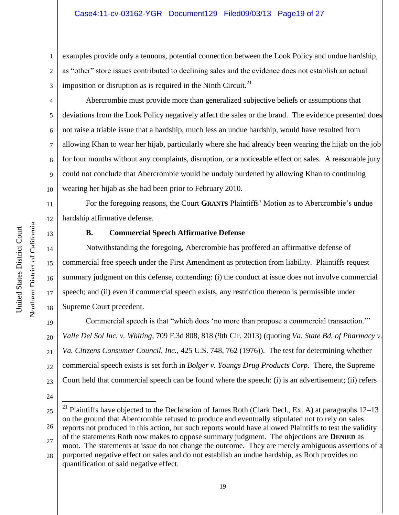1 2 3 examples provide only a tenuous, potential connection between the Look Policy and undue hardship, as "other" store issues contributed to declining sales and the evidence does not establish an actual imposition or disruption as is required in the Ninth Circuit. $21$ 

4 5 6 7 8 9 10 Abercrombie must provide more than generalized subjective beliefs or assumptions that deviations from the Look Policy negatively affect the sales or the brand. The evidence presented does not raise a triable issue that a hardship, much less an undue hardship, would have resulted from allowing Khan to wear her hijab, particularly where she had already been wearing the hijab on the job for four months without any complaints, disruption, or a noticeable effect on sales. A reasonable jury could not conclude that Abercrombie would be unduly burdened by allowing Khan to continuing wearing her hijab as she had been prior to February 2010.

For the foregoing reasons, the Court **GRANTS** Plaintiffs' Motion as to Abercrombie's undue hardship affirmative defense.

# **B. Commercial Speech Affirmative Defense**

Notwithstanding the foregoing, Abercrombie has proffered an affirmative defense of commercial free speech under the First Amendment as protection from liability. Plaintiffs request summary judgment on this defense, contending: (i) the conduct at issue does not involve commercial speech; and (ii) even if commercial speech exists, any restriction thereon is permissible under Supreme Court precedent.

19 20 21 22 23 Commercial speech is that "which does 'no more than propose a commercial transaction.'" *Valle Del Sol Inc. v. Whiting*, 709 F.3d 808, 818 (9th Cir. 2013) (quoting *Va. State Bd. of Pharmacy v. Va. Citizens Consumer Council, Inc.,* 425 U.S. 748, 762 (1976)). The test for determining whether commercial speech exists is set forth in *Bolger v. Youngs Drug Products Corp*. There, the Supreme Court held that commercial speech can be found where the speech: (i) is an advertisement; (ii) refers

11

12

13

14

15

16

17

18

24

<sup>25</sup> 26 27  $\overline{a}$ <sup>21</sup> Plaintiffs have objected to the Declaration of James Roth (Clark Decl., Ex. A) at paragraphs 12–13 on the ground that Abercrombie refused to produce and eventually stipulated not to rely on sales reports not produced in this action, but such reports would have allowed Plaintiffs to test the validity of the statements Roth now makes to oppose summary judgment. The objections are **DENIED** as moot. The statements at issue do not change the outcome. They are merely ambiguous assertions of a

<sup>28</sup> purported negative effect on sales and do not establish an undue hardship, as Roth provides no quantification of said negative effect.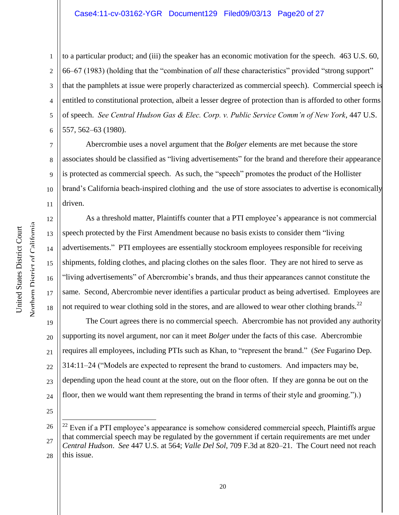#### Case4:11-cv-03162-YGR Document129 Filed09/03/13 Page20 of 27

1 2 3 4 5 6 to a particular product; and (iii) the speaker has an economic motivation for the speech. 463 U.S. 60, 66–67 (1983) (holding that the "combination of *all* these characteristics" provided "strong support" that the pamphlets at issue were properly characterized as commercial speech). Commercial speech is entitled to constitutional protection, albeit a lesser degree of protection than is afforded to other forms of speech. *See Central Hudson Gas & Elec. Corp. v. Public Service Comm'n of New York*, 447 U.S. 557, 562–63 (1980).

Abercrombie uses a novel argument that the *Bolger* elements are met because the store associates should be classified as "living advertisements" for the brand and therefore their appearance is protected as commercial speech. As such, the "speech" promotes the product of the Hollister brand's California beach-inspired clothing and the use of store associates to advertise is economically driven.

As a threshold matter, Plaintiffs counter that a PTI employee's appearance is not commercial speech protected by the First Amendment because no basis exists to consider them "living advertisements." PTI employees are essentially stockroom employees responsible for receiving shipments, folding clothes, and placing clothes on the sales floor. They are not hired to serve as "living advertisements" of Abercrombie's brands, and thus their appearances cannot constitute the same. Second, Abercrombie never identifies a particular product as being advertised. Employees are not required to wear clothing sold in the stores, and are allowed to wear other clothing brands.<sup>22</sup>

19 20 21 22 23 24 The Court agrees there is no commercial speech. Abercrombie has not provided any authority supporting its novel argument, nor can it meet *Bolger* under the facts of this case. Abercrombie requires all employees, including PTIs such as Khan, to "represent the brand." (*See* Fugarino Dep. 314:11–24 ("Models are expected to represent the brand to customers. And impacters may be, depending upon the head count at the store, out on the floor often. If they are gonna be out on the floor, then we would want them representing the brand in terms of their style and grooming.").)

25

 $\overline{a}$ 

7

8

9

10

11

12

13

14

15

16

17

18

<sup>26</sup> 27 28 Even if a PTI employee's appearance is somehow considered commercial speech, Plaintiffs argue that commercial speech may be regulated by the government if certain requirements are met under *Central Hudson*. *See* 447 U.S. at 564; *Valle Del Sol*, 709 F.3d at 820–21. The Court need not reach this issue.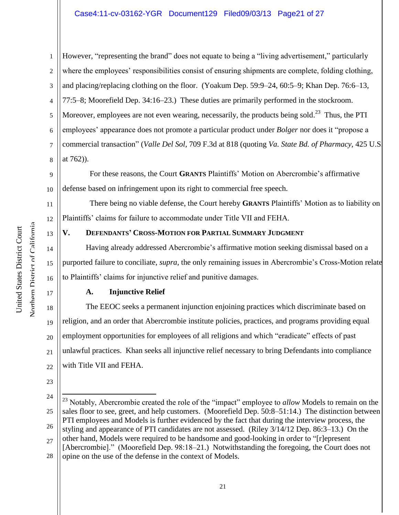# Case4:11-cv-03162-YGR Document129 Filed09/03/13 Page21 of 27

1 2 3 4 5 6 7 8 However, "representing the brand" does not equate to being a "living advertisement," particularly where the employees' responsibilities consist of ensuring shipments are complete, folding clothing, and placing/replacing clothing on the floor. (Yoakum Dep. 59:9–24, 60:5–9; Khan Dep. 76:6–13, 77:5–8; Moorefield Dep. 34:16–23.) These duties are primarily performed in the stockroom. Moreover, employees are not even wearing, necessarily, the products being sold.<sup>23</sup> Thus, the PTI employees' appearance does not promote a particular product under *Bolger* nor does it "propose a commercial transaction" (*Valle Del Sol*, 709 F.3d at 818 (quoting *Va. State Bd. of Pharmacy,* 425 U.S. at 762)).

9 10 For these reasons, the Court **GRANTS** Plaintiffs' Motion on Abercrombie's affirmative defense based on infringement upon its right to commercial free speech.

 There being no viable defense, the Court hereby **GRANTS** Plaintiffs' Motion as to liability on Plaintiffs' claims for failure to accommodate under Title VII and FEHA.

# **V. DEFENDANTS' CROSS-MOTION FOR PARTIAL SUMMARY JUDGMENT**

Having already addressed Abercrombie's affirmative motion seeking dismissal based on a purported failure to conciliate, *supra*, the only remaining issues in Abercrombie's Cross-Motion relate to Plaintiffs' claims for injunctive relief and punitive damages.

# **A. Injunctive Relief**

18 20 21 22 The EEOC seeks a permanent injunction enjoining practices which discriminate based on religion, and an order that Abercrombie institute policies, practices, and programs providing equal employment opportunities for employees of all religions and which "eradicate" effects of past unlawful practices. Khan seeks all injunctive relief necessary to bring Defendants into compliance with Title VII and FEHA.

24 25 26 27 28  $\overline{a}$ <sup>23</sup> Notably, Abercrombie created the role of the "impact" employee to *allow* Models to remain on the sales floor to see, greet, and help customers. (Moorefield Dep. 50:8–51:14.) The distinction between PTI employees and Models is further evidenced by the fact that during the interview process, the styling and appearance of PTI candidates are not assessed. (Riley 3/14/12 Dep. 86:3–13.) On the other hand, Models were required to be handsome and good-looking in order to "[r]epresent [Abercrombie]." (Moorefield Dep. 98:18–21.) Notwithstanding the foregoing, the Court does not opine on the use of the defense in the context of Models.

11

12

13

14

15

16

17

19

23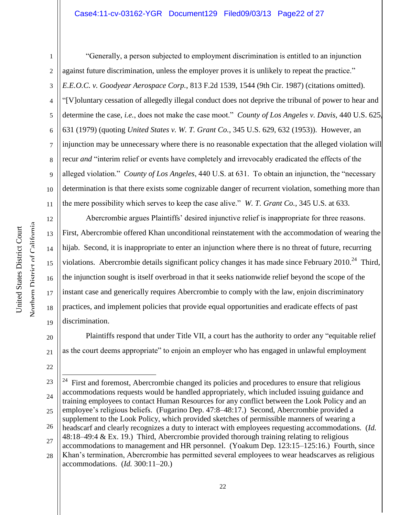# Case4:11-cv-03162-YGR Document129 Filed09/03/13 Page22 of 27

Northern District of California

12

13

14

15

16

17

18

19

22

 $\overline{a}$ 

1 2 3 4 5 6 7 8 9 10 11 "Generally, a person subjected to employment discrimination is entitled to an injunction against future discrimination, unless the employer proves it is unlikely to repeat the practice." *E.E.O.C. v. Goodyear Aerospace Corp.*, 813 F.2d 1539, 1544 (9th Cir. 1987) (citations omitted). "[V]oluntary cessation of allegedly illegal conduct does not deprive the tribunal of power to hear and determine the case, *i.e.*, does not make the case moot." *County of Los Angeles v. Davis*, 440 U.S. 625, 631 (1979) (quoting *United States v. W. T. Grant Co.*, 345 U.S. 629, 632 (1953)). However, an injunction may be unnecessary where there is no reasonable expectation that the alleged violation will recur *and* "interim relief or events have completely and irrevocably eradicated the effects of the alleged violation." *County of Los Angeles*, 440 U.S. at 631. To obtain an injunction, the "necessary determination is that there exists some cognizable danger of recurrent violation, something more than the mere possibility which serves to keep the case alive." *W. T. Grant Co.*, 345 U.S. at 633.

Abercrombie argues Plaintiffs' desired injunctive relief is inappropriate for three reasons. First, Abercrombie offered Khan unconditional reinstatement with the accommodation of wearing the hijab. Second, it is inappropriate to enter an injunction where there is no threat of future, recurring violations. Abercrombie details significant policy changes it has made since February 2010.<sup>24</sup> Third, the injunction sought is itself overbroad in that it seeks nationwide relief beyond the scope of the instant case and generically requires Abercrombie to comply with the law, enjoin discriminatory practices, and implement policies that provide equal opportunities and eradicate effects of past discrimination.

20 21 Plaintiffs respond that under Title VII, a court has the authority to order any "equitable relief as the court deems appropriate" to enjoin an employer who has engaged in unlawful employment

<sup>23</sup> 24 25 26 27 24 First and foremost, Abercrombie changed its policies and procedures to ensure that religious accommodations requests would be handled appropriately, which included issuing guidance and training employees to contact Human Resources for any conflict between the Look Policy and an employee's religious beliefs. (Fugarino Dep. 47:8–48:17.) Second, Abercrombie provided a supplement to the Look Policy, which provided sketches of permissible manners of wearing a headscarf and clearly recognizes a duty to interact with employees requesting accommodations. (*Id.* 48:18–49:4 & Ex. 19.) Third, Abercrombie provided thorough training relating to religious accommodations to management and HR personnel. (Yoakum Dep. 123:15–125:16.) Fourth, since Khan's termination, Abercrombie has permitted several employees to wear headscarves as religious

<sup>28</sup> accommodations. (*Id.* 300:11–20.)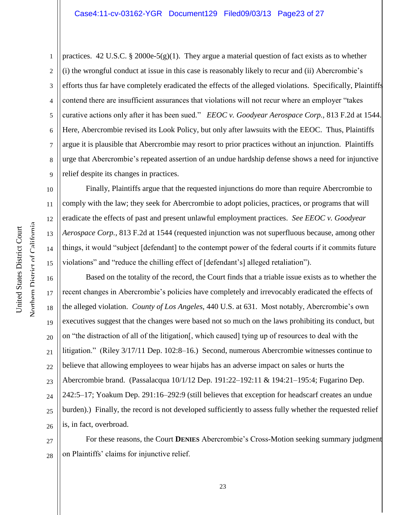#### Case4:11-cv-03162-YGR Document129 Filed09/03/13 Page23 of 27

1 2 3 4 5 6 7 8 9 practices. 42 U.S.C. § 2000e-5(g)(1). They argue a material question of fact exists as to whether (i) the wrongful conduct at issue in this case is reasonably likely to recur and (ii) Abercrombie's efforts thus far have completely eradicated the effects of the alleged violations. Specifically, Plaintiffs contend there are insufficient assurances that violations will not recur where an employer "takes curative actions only after it has been sued." *EEOC v. Goodyear Aerospace Corp.,* 813 F.2d at 1544. Here, Abercrombie revised its Look Policy, but only after lawsuits with the EEOC. Thus, Plaintiffs argue it is plausible that Abercrombie may resort to prior practices without an injunction. Plaintiffs urge that Abercrombie's repeated assertion of an undue hardship defense shows a need for injunctive relief despite its changes in practices.

Finally, Plaintiffs argue that the requested injunctions do more than require Abercrombie to comply with the law; they seek for Abercrombie to adopt policies, practices, or programs that will eradicate the effects of past and present unlawful employment practices. *See EEOC v. Goodyear Aerospace Corp.*, 813 F.2d at 1544 (requested injunction was not superfluous because, among other things, it would "subject [defendant] to the contempt power of the federal courts if it commits future violations" and "reduce the chilling effect of [defendant's] alleged retaliation").

16 17 18 19 20 21 22 23 24 25 26 Based on the totality of the record, the Court finds that a triable issue exists as to whether the recent changes in Abercrombie's policies have completely and irrevocably eradicated the effects of the alleged violation. *County of Los Angeles*, 440 U.S. at 631. Most notably, Abercrombie's own executives suggest that the changes were based not so much on the laws prohibiting its conduct, but on "the distraction of all of the litigation[, which caused] tying up of resources to deal with the litigation." (Riley 3/17/11 Dep. 102:8–16.) Second, numerous Abercrombie witnesses continue to believe that allowing employees to wear hijabs has an adverse impact on sales or hurts the Abercrombie brand. (Passalacqua 10/1/12 Dep. 191:22–192:11 & 194:21–195:4; Fugarino Dep. 242:5–17; Yoakum Dep. 291:16–292:9 (still believes that exception for headscarf creates an undue burden).) Finally, the record is not developed sufficiently to assess fully whether the requested relief is, in fact, overbroad.

27 28 For these reasons, the Court **DENIES** Abercrombie's Cross-Motion seeking summary judgment on Plaintiffs' claims for injunctive relief.

10

11

12

13

14

15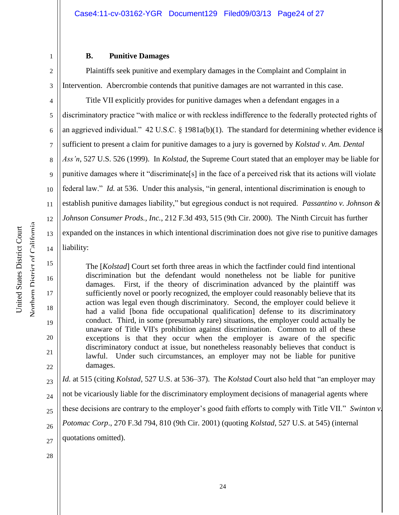## **B. Punitive Damages**

2 3 Plaintiffs seek punitive and exemplary damages in the Complaint and Complaint in Intervention. Abercrombie contends that punitive damages are not warranted in this case.

4 5 6 7 8 9 10 11 12 13 14 Title VII explicitly provides for punitive damages when a defendant engages in a discriminatory practice "with malice or with reckless indifference to the federally protected rights of an aggrieved individual." 42 U.S.C. § 1981a(b)(1). The standard for determining whether evidence is sufficient to present a claim for punitive damages to a jury is governed by *Kolstad v. Am. Dental Ass'n*, 527 U.S. 526 (1999). In *Kolstad*, the Supreme Court stated that an employer may be liable for punitive damages where it "discriminate[s] in the face of a perceived risk that its actions will violate federal law." *Id.* at 536. Under this analysis, "in general, intentional discrimination is enough to establish punitive damages liability," but egregious conduct is not required. *Passantino v. Johnson & Johnson Consumer Prods., Inc.*, 212 F.3d 493, 515 (9th Cir. 2000). The Ninth Circuit has further expanded on the instances in which intentional discrimination does not give rise to punitive damages liability:

The [*Kolstad*] Court set forth three areas in which the factfinder could find intentional discrimination but the defendant would nonetheless not be liable for punitive damages. First, if the theory of discrimination advanced by the plaintiff was sufficiently novel or poorly recognized, the employer could reasonably believe that its action was legal even though discriminatory. Second, the employer could believe it had a valid [bona fide occupational qualification] defense to its discriminatory conduct. Third, in some (presumably rare) situations, the employer could actually be unaware of Title VII's prohibition against discrimination. Common to all of these exceptions is that they occur when the employer is aware of the specific discriminatory conduct at issue, but nonetheless reasonably believes that conduct is lawful. Under such circumstances, an employer may not be liable for punitive damages.

*Id.* at 515 (citing *Kolstad*, 527 U.S. at 536–37). The *Kolstad* Court also held that "an employer may

24 not be vicariously liable for the discriminatory employment decisions of managerial agents where

25 these decisions are contrary to the employer's good faith efforts to comply with Title VII." *Swinton v.* 

26 *Potomac Corp*., 270 F.3d 794, 810 (9th Cir. 2001) (quoting *Kolstad*, 527 U.S. at 545) (internal

27 quotations omitted).

28

Northern District of California Northern District of California United States District Court United States District Court

15

16

17

18

19

20

21

22

23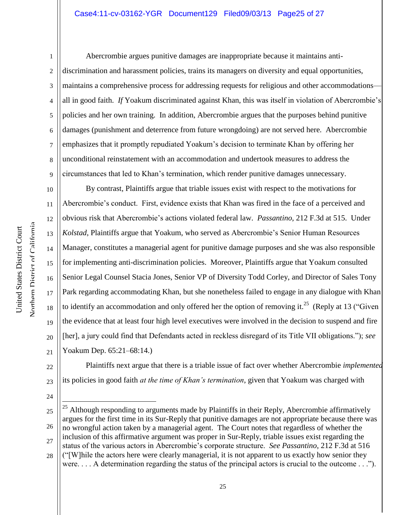## Case4:11-cv-03162-YGR Document129 Filed09/03/13 Page25 of 27

Northern District of California

24

1 2 3 4 5 6 7 8 9 Abercrombie argues punitive damages are inappropriate because it maintains antidiscrimination and harassment policies, trains its managers on diversity and equal opportunities, maintains a comprehensive process for addressing requests for religious and other accommodations all in good faith. *If* Yoakum discriminated against Khan, this was itself in violation of Abercrombie's policies and her own training. In addition, Abercrombie argues that the purposes behind punitive damages (punishment and deterrence from future wrongdoing) are not served here. Abercrombie emphasizes that it promptly repudiated Yoakum's decision to terminate Khan by offering her unconditional reinstatement with an accommodation and undertook measures to address the circumstances that led to Khan's termination, which render punitive damages unnecessary.

10 11 12 13 14 15 16 17 18 19 20 21 By contrast, Plaintiffs argue that triable issues exist with respect to the motivations for Abercrombie's conduct. First, evidence exists that Khan was fired in the face of a perceived and obvious risk that Abercrombie's actions violated federal law. *Passantino*, 212 F.3d at 515. Under *Kolstad*, Plaintiffs argue that Yoakum, who served as Abercrombie's Senior Human Resources Manager, constitutes a managerial agent for punitive damage purposes and she was also responsible for implementing anti-discrimination policies. Moreover, Plaintiffs argue that Yoakum consulted Senior Legal Counsel Stacia Jones, Senior VP of Diversity Todd Corley, and Director of Sales Tony Park regarding accommodating Khan, but she nonetheless failed to engage in any dialogue with Khan to identify an accommodation and only offered her the option of removing it.<sup>25</sup> (Reply at 13 ("Given the evidence that at least four high level executives were involved in the decision to suspend and fire [her], a jury could find that Defendants acted in reckless disregard of its Title VII obligations."); *see*  Yoakum Dep. 65:21–68:14.)

22 23 Plaintiffs next argue that there is a triable issue of fact over whether Abercrombie *implemented*  its policies in good faith *at the time of Khan's termination*, given that Yoakum was charged with

<sup>25</sup> 26 27 28  $\overline{a}$  $25$  Although responding to arguments made by Plaintiffs in their Reply, Abercrombie affirmatively argues for the first time in its Sur-Reply that punitive damages are not appropriate because there was no wrongful action taken by a managerial agent. The Court notes that regardless of whether the inclusion of this affirmative argument was proper in Sur-Reply, triable issues exist regarding the status of the various actors in Abercrombie's corporate structure. *See Passantino*, 212 F.3d at 516 ("[W]hile the actors here were clearly managerial, it is not apparent to us exactly how senior they

were. . . . A determination regarding the status of the principal actors is crucial to the outcome . . .").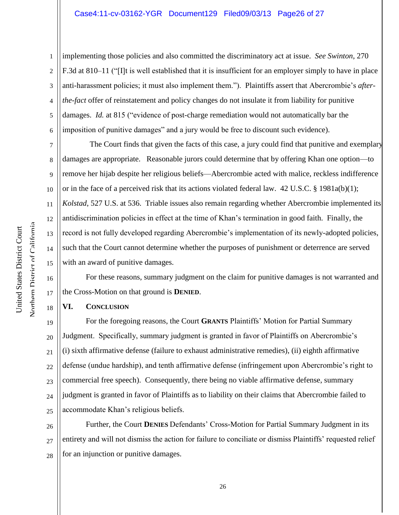1 2 3 4 5 6 implementing those policies and also committed the discriminatory act at issue. *See Swinton*, 270 F.3d at 810–11 ("[I]t is well established that it is insufficient for an employer simply to have in place anti-harassment policies; it must also implement them."). Plaintiffs assert that Abercrombie's *afterthe-fact* offer of reinstatement and policy changes do not insulate it from liability for punitive damages. *Id.* at 815 ("evidence of post-charge remediation would not automatically bar the imposition of punitive damages" and a jury would be free to discount such evidence).

7 8 9 10 11 12 13 14 15 The Court finds that given the facts of this case, a jury could find that punitive and exemplary damages are appropriate. Reasonable jurors could determine that by offering Khan one option—to remove her hijab despite her religious beliefs—Abercrombie acted with malice, reckless indifference or in the face of a perceived risk that its actions violated federal law.  $42 \text{ U.S.C.}$  §  $1981a(b)(1)$ ; *Kolstad*, 527 U.S. at 536. Triable issues also remain regarding whether Abercrombie implemented its antidiscrimination policies in effect at the time of Khan's termination in good faith. Finally, the record is not fully developed regarding Abercrombie's implementation of its newly-adopted policies, such that the Court cannot determine whether the purposes of punishment or deterrence are served with an award of punitive damages.

For these reasons, summary judgment on the claim for punitive damages is not warranted and the Cross-Motion on that ground is **DENIED**.

# **VI. CONCLUSION**

19 20 21 22 23 24 25 For the foregoing reasons, the Court **GRANTS** Plaintiffs' Motion for Partial Summary Judgment. Specifically, summary judgment is granted in favor of Plaintiffs on Abercrombie's (i) sixth affirmative defense (failure to exhaust administrative remedies), (ii) eighth affirmative defense (undue hardship), and tenth affirmative defense (infringement upon Abercrombie's right to commercial free speech). Consequently, there being no viable affirmative defense, summary judgment is granted in favor of Plaintiffs as to liability on their claims that Abercrombie failed to accommodate Khan's religious beliefs.

26 27 28 Further, the Court **DENIES** Defendants' Cross-Motion for Partial Summary Judgment in its entirety and will not dismiss the action for failure to conciliate or dismiss Plaintiffs' requested relief for an injunction or punitive damages.

16

17